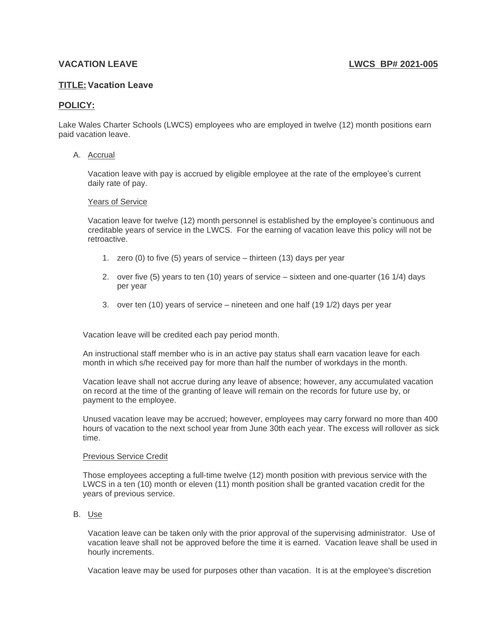## **VACATION LEAVE LWCS BP# 2021-005**

# **TITLE:Vacation Leave**

## **POLICY:**

Lake Wales Charter Schools (LWCS) employees who are employed in twelve (12) month positions earn paid vacation leave.

### A. Accrual

Vacation leave with pay is accrued by eligible employee at the rate of the employee's current daily rate of pay.

#### Years of Service

Vacation leave for twelve (12) month personnel is established by the employee's continuous and creditable years of service in the LWCS. For the earning of vacation leave this policy will not be retroactive.

- 1. zero (0) to five (5) years of service thirteen (13) days per year
- 2. over five (5) years to ten (10) years of service sixteen and one-quarter (16 1/4) days per year
- 3. over ten (10) years of service nineteen and one half (19 1/2) days per year

Vacation leave will be credited each pay period month.

An instructional staff member who is in an active pay status shall earn vacation leave for each month in which s/he received pay for more than half the number of workdays in the month.

Vacation leave shall not accrue during any leave of absence; however, any accumulated vacation on record at the time of the granting of leave will remain on the records for future use by, or payment to the employee.

Unused vacation leave may be accrued; however, employees may carry forward no more than 400 hours of vacation to the next school year from June 30th each year. The excess will rollover as sick time.

#### Previous Service Credit

Those employees accepting a full-time twelve (12) month position with previous service with the LWCS in a ten (10) month or eleven (11) month position shall be granted vacation credit for the years of previous service.

## B. Use

Vacation leave can be taken only with the prior approval of the supervising administrator. Use of vacation leave shall not be approved before the time it is earned. Vacation leave shall be used in hourly increments.

Vacation leave may be used for purposes other than vacation. It is at the employee's discretion